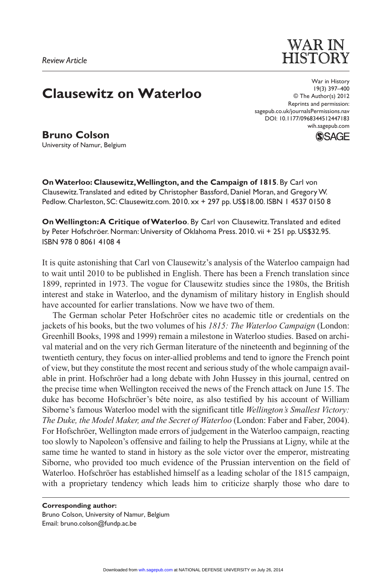WAR IN **HISTORY** 

## **Clausewitz on Waterloo**

War in History 19(3) 397–400 © The Author(s) 2012 Reprints and permission: sagepub.co.uk/journalsPermissions.nav DOI: 10.1177/0968344512447183 wih.sagepub.com



**Bruno Colson** University of Namur, Belgium

**On Waterloo: Clausewitz, Wellington, and the Campaign of 1815**. By Carl von Clausewitz. Translated and edited by Christopher Bassford, Daniel Moran, and Gregory W. Pedlow. Charleston, SC: Clausewitz.com. 2010. xx + 297 pp. US\$18.00. ISBN 1 4537 0150 8

**On Wellington: A Critique of Waterloo**. By Carl von Clausewitz. Translated and edited by Peter Hofschröer. Norman: University of Oklahoma Press. 2010. vii + 251 pp. US\$32.95. ISBN 978 0 8061 4108 4

It is quite astonishing that Carl von Clausewitz's analysis of the Waterloo campaign had to wait until 2010 to be published in English. There has been a French translation since 1899, reprinted in 1973. The vogue for Clausewitz studies since the 1980s, the British interest and stake in Waterloo, and the dynamism of military history in English should have accounted for earlier translations. Now we have two of them.

The German scholar Peter Hofschröer cites no academic title or credentials on the jackets of his books, but the two volumes of his *1815: The Waterloo Campaign* (London: Greenhill Books, 1998 and 1999) remain a milestone in Waterloo studies. Based on archival material and on the very rich German literature of the nineteenth and beginning of the twentieth century, they focus on inter-allied problems and tend to ignore the French point of view, but they constitute the most recent and serious study of the whole campaign available in print. Hofschröer had a long debate with John Hussey in this journal, centred on the precise time when Wellington received the news of the French attack on June 15. The duke has become Hofschröer's bête noire, as also testified by his account of William Siborne's famous Waterloo model with the significant title *Wellington's Smallest Victory: The Duke, the Model Maker, and the Secret of Waterloo* (London: Faber and Faber, 2004). For Hofschröer, Wellington made errors of judgement in the Waterloo campaign, reacting too slowly to Napoleon's offensive and failing to help the Prussians at Ligny, while at the same time he wanted to stand in history as the sole victor over the emperor, mistreating Siborne, who provided too much evidence of the Prussian intervention on the field of Waterloo. Hofschröer has established himself as a leading scholar of the 1815 campaign, with a proprietary tendency which leads him to criticize sharply those who dare to

**Corresponding author:** Bruno Colson, University of Namur, Belgium Email: bruno.colson@fundp.ac.be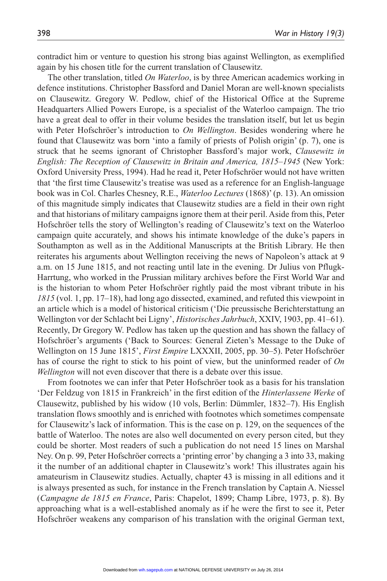contradict him or venture to question his strong bias against Wellington, as exemplified again by his chosen title for the current translation of Clausewitz.

The other translation, titled *On Waterloo*, is by three American academics working in defence institutions. Christopher Bassford and Daniel Moran are well-known specialists on Clausewitz. Gregory W. Pedlow, chief of the Historical Office at the Supreme Headquarters Allied Powers Europe, is a specialist of the Waterloo campaign. The trio have a great deal to offer in their volume besides the translation itself, but let us begin with Peter Hofschröer's introduction to *On Wellington*. Besides wondering where he found that Clausewitz was born 'into a family of priests of Polish origin' (p. 7), one is struck that he seems ignorant of Christopher Bassford's major work, *Clausewitz in English: The Reception of Clausewitz in Britain and America, 1815–1945* (New York: Oxford University Press, 1994). Had he read it, Peter Hofschröer would not have written that 'the first time Clausewitz's treatise was used as a reference for an English-language book was in Col. Charles Chesney, R.E., *Waterloo Lectures* (1868)' (p. 13). An omission of this magnitude simply indicates that Clausewitz studies are a field in their own right and that historians of military campaigns ignore them at their peril. Aside from this, Peter Hofschröer tells the story of Wellington's reading of Clausewitz's text on the Waterloo campaign quite accurately, and shows his intimate knowledge of the duke's papers in Southampton as well as in the Additional Manuscripts at the British Library. He then reiterates his arguments about Wellington receiving the news of Napoleon's attack at 9 a.m. on 15 June 1815, and not reacting until late in the evening. Dr Julius von Pflugk-Harrtung, who worked in the Prussian military archives before the First World War and is the historian to whom Peter Hofschröer rightly paid the most vibrant tribute in his *1815* (vol. 1, pp. 17–18), had long ago dissected, examined, and refuted this viewpoint in an article which is a model of historical criticism ('Die preussische Berichterstattung an Wellington vor der Schlacht bei Ligny', *Historisches Jahrbuch*, XXIV, 1903, pp. 41–61). Recently, Dr Gregory W. Pedlow has taken up the question and has shown the fallacy of Hofschröer's arguments ('Back to Sources: General Zieten's Message to the Duke of Wellington on 15 June 1815', *First Empire* LXXXII, 2005, pp. 30–5). Peter Hofschröer has of course the right to stick to his point of view, but the uninformed reader of *On Wellington* will not even discover that there is a debate over this issue.

From footnotes we can infer that Peter Hofschröer took as a basis for his translation 'Der Feldzug von 1815 in Frankreich' in the first edition of the *Hinterlassene Werke* of Clausewitz, published by his widow (10 vols, Berlin: Dümmler, 1832–7). His English translation flows smoothly and is enriched with footnotes which sometimes compensate for Clausewitz's lack of information. This is the case on p. 129, on the sequences of the battle of Waterloo. The notes are also well documented on every person cited, but they could be shorter. Most readers of such a publication do not need 15 lines on Marshal Ney. On p. 99, Peter Hofschröer corrects a 'printing error' by changing a 3 into 33, making it the number of an additional chapter in Clausewitz's work! This illustrates again his amateurism in Clausewitz studies. Actually, chapter 43 is missing in all editions and it is always presented as such, for instance in the French translation by Captain A. Niessel (*Campagne de 1815 en France*, Paris: Chapelot, 1899; Champ Libre, 1973, p. 8). By approaching what is a well-established anomaly as if he were the first to see it, Peter Hofschröer weakens any comparison of his translation with the original German text,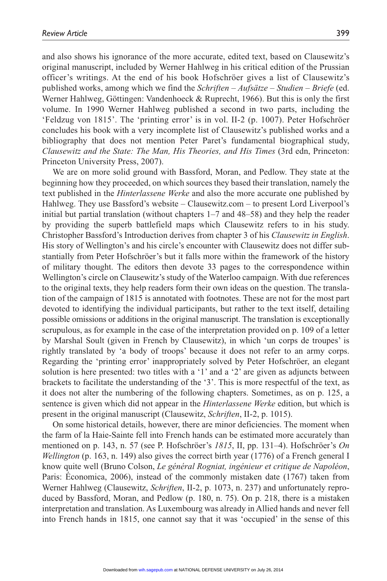and also shows his ignorance of the more accurate, edited text, based on Clausewitz's original manuscript, included by Werner Hahlweg in his critical edition of the Prussian officer's writings. At the end of his book Hofschröer gives a list of Clausewitz's published works, among which we find the *Schriften – Aufsätze – Studien – Briefe* (ed. Werner Hahlweg, Göttingen: Vandenhoeck & Ruprecht, 1966). But this is only the first volume. In 1990 Werner Hahlweg published a second in two parts, including the 'Feldzug von 1815'. The 'printing error' is in vol. II-2 (p. 1007). Peter Hofschröer concludes his book with a very incomplete list of Clausewitz's published works and a bibliography that does not mention Peter Paret's fundamental biographical study, *Clausewitz and the State: The Man, His Theories, and His Times* (3rd edn, Princeton: Princeton University Press, 2007).

We are on more solid ground with Bassford, Moran, and Pedlow. They state at the beginning how they proceeded, on which sources they based their translation, namely the text published in the *Hinterlassene Werke* and also the more accurate one published by Hahlweg. They use Bassford's website – Clausewitz.com – to present Lord Liverpool's initial but partial translation (without chapters 1–7 and 48–58) and they help the reader by providing the superb battlefield maps which Clausewitz refers to in his study. Christopher Bassford's Introduction derives from chapter 3 of his *Clausewitz in English*. His story of Wellington's and his circle's encounter with Clausewitz does not differ substantially from Peter Hofschröer's but it falls more within the framework of the history of military thought. The editors then devote 33 pages to the correspondence within Wellington's circle on Clausewitz's study of the Waterloo campaign. With due references to the original texts, they help readers form their own ideas on the question. The translation of the campaign of 1815 is annotated with footnotes. These are not for the most part devoted to identifying the individual participants, but rather to the text itself, detailing possible omissions or additions in the original manuscript. The translation is exceptionally scrupulous, as for example in the case of the interpretation provided on p. 109 of a letter by Marshal Soult (given in French by Clausewitz), in which 'un corps de troupes' is rightly translated by 'a body of troops' because it does not refer to an army corps. Regarding the 'printing error' inappropriately solved by Peter Hofschröer, an elegant solution is here presented: two titles with a '1' and a '2' are given as adjuncts between brackets to facilitate the understanding of the '3'. This is more respectful of the text, as it does not alter the numbering of the following chapters. Sometimes, as on p. 125, a sentence is given which did not appear in the *Hinterlassene Werke* edition, but which is present in the original manuscript (Clausewitz, *Schriften*, II-2, p. 1015).

On some historical details, however, there are minor deficiencies. The moment when the farm of la Haie-Sainte fell into French hands can be estimated more accurately than mentioned on p. 143, n. 57 (see P. Hofschröer's *1815*, II, pp. 131–4). Hofschröer's *On Wellington* (p. 163, n. 149) also gives the correct birth year (1776) of a French general I know quite well (Bruno Colson, *Le général Rogniat, ingénieur et critique de Napoléon*, Paris: Économica, 2006), instead of the commonly mistaken date (1767) taken from Werner Hahlweg (Clausewitz, *Schriften*, II-2, p. 1073, n. 237) and unfortunately reproduced by Bassford, Moran, and Pedlow (p. 180, n. 75). On p. 218, there is a mistaken interpretation and translation. As Luxembourg was already in Allied hands and never fell into French hands in 1815, one cannot say that it was 'occupied' in the sense of this